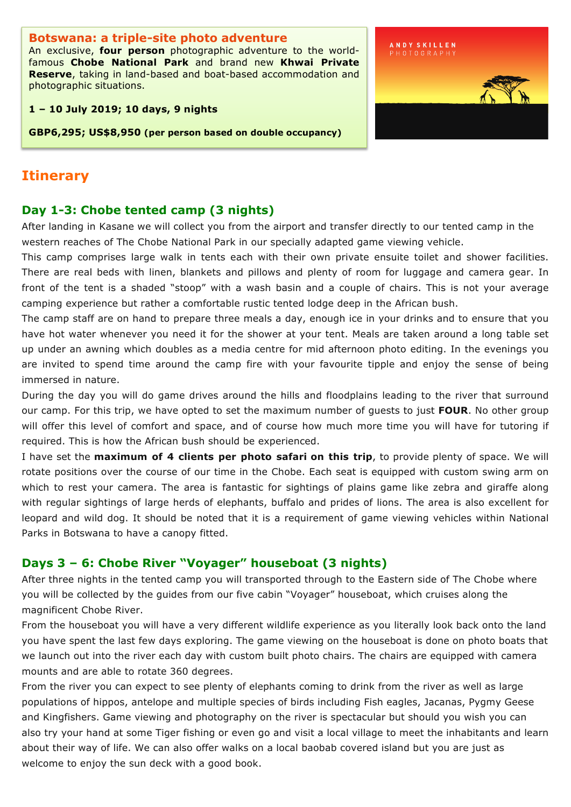**Botswana: a triple-site photo adventure** An exclusive, **four person** photographic adventure to the worldfamous **Chobe National Park** and brand new **Khwai Private Reserve**, taking in land-based and boat-based accommodation and photographic situations.

#### **1 – 10 July 2019; 10 days, 9 nights**

**GBP6,295; US\$8,950 (per person based on double occupancy)**



# **Itinerary**

## **Day 1-3: Chobe tented camp (3 nights)**

After landing in Kasane we will collect you from the airport and transfer directly to our tented camp in the western reaches of The Chobe National Park in our specially adapted game viewing vehicle.

This camp comprises large walk in tents each with their own private ensuite toilet and shower facilities. There are real beds with linen, blankets and pillows and plenty of room for luggage and camera gear. In front of the tent is a shaded "stoop" with a wash basin and a couple of chairs. This is not your average camping experience but rather a comfortable rustic tented lodge deep in the African bush.

The camp staff are on hand to prepare three meals a day, enough ice in your drinks and to ensure that you have hot water whenever you need it for the shower at your tent. Meals are taken around a long table set up under an awning which doubles as a media centre for mid afternoon photo editing. In the evenings you are invited to spend time around the camp fire with your favourite tipple and enjoy the sense of being immersed in nature.

During the day you will do game drives around the hills and floodplains leading to the river that surround our camp. For this trip, we have opted to set the maximum number of guests to just **FOUR**. No other group will offer this level of comfort and space, and of course how much more time you will have for tutoring if required. This is how the African bush should be experienced.

I have set the **maximum of 4 clients per photo safari on this trip**, to provide plenty of space. We will rotate positions over the course of our time in the Chobe. Each seat is equipped with custom swing arm on which to rest your camera. The area is fantastic for sightings of plains game like zebra and giraffe along with regular sightings of large herds of elephants, buffalo and prides of lions. The area is also excellent for leopard and wild dog. It should be noted that it is a requirement of game viewing vehicles within National Parks in Botswana to have a canopy fitted.

## **Days 3 – 6: Chobe River "Voyager" houseboat (3 nights)**

After three nights in the tented camp you will transported through to the Eastern side of The Chobe where you will be collected by the guides from our five cabin "Voyager" houseboat, which cruises along the magnificent Chobe River.

From the houseboat you will have a very different wildlife experience as you literally look back onto the land you have spent the last few days exploring. The game viewing on the houseboat is done on photo boats that we launch out into the river each day with custom built photo chairs. The chairs are equipped with camera mounts and are able to rotate 360 degrees.

From the river you can expect to see plenty of elephants coming to drink from the river as well as large populations of hippos, antelope and multiple species of birds including Fish eagles, Jacanas, Pygmy Geese and Kingfishers. Game viewing and photography on the river is spectacular but should you wish you can also try your hand at some Tiger fishing or even go and visit a local village to meet the inhabitants and learn about their way of life. We can also offer walks on a local baobab covered island but you are just as welcome to enjoy the sun deck with a good book.